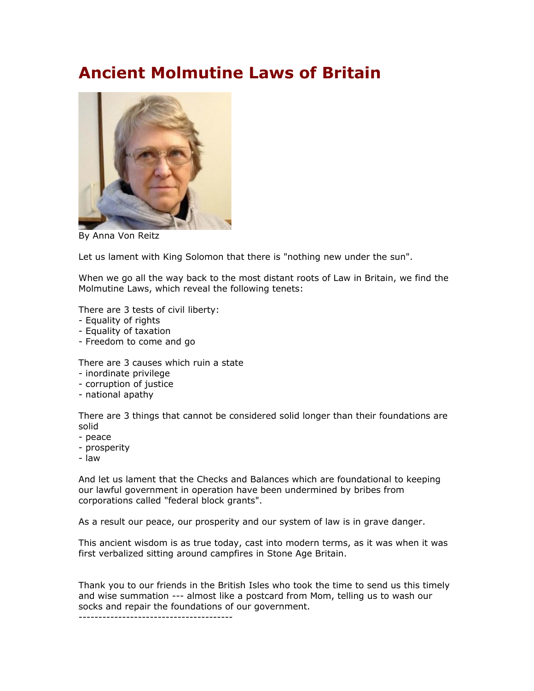## **Ancient Molmutine Laws of Britain**



By Anna Von Reitz

Let us lament with King Solomon that there is "nothing new under the sun".

When we go all the way back to the most distant roots of Law in Britain, we find the Molmutine Laws, which reveal the following tenets:

There are 3 tests of civil liberty:

- Equality of rights
- Equality of taxation
- Freedom to come and go

There are 3 causes which ruin a state

- inordinate privilege
- corruption of justice
- national apathy

There are 3 things that cannot be considered solid longer than their foundations are solid

- peace
- prosperity
- law

And let us lament that the Checks and Balances which are foundational to keeping our lawful government in operation have been undermined by bribes from corporations called "federal block grants".

As a result our peace, our prosperity and our system of law is in grave danger.

This ancient wisdom is as true today, cast into modern terms, as it was when it was first verbalized sitting around campfires in Stone Age Britain.

Thank you to our friends in the British Isles who took the time to send us this timely and wise summation --- almost like a postcard from Mom, telling us to wash our socks and repair the foundations of our government.

---------------------------------------